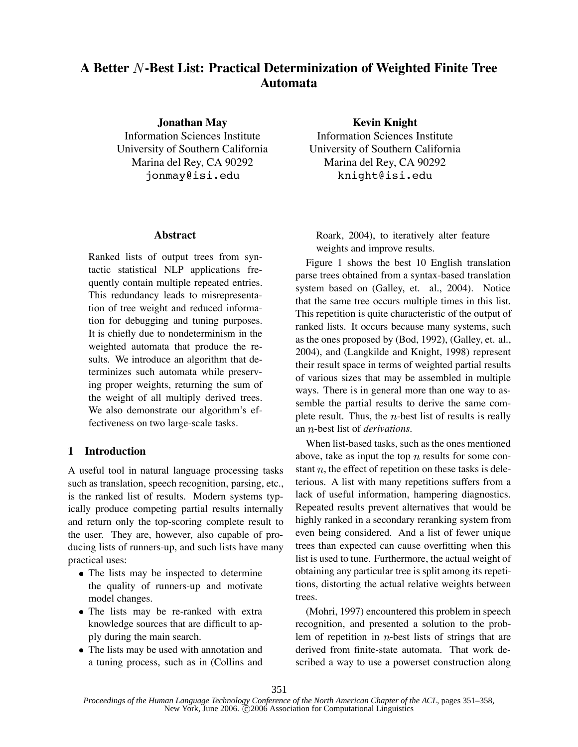# **A Better -Best List: Practical Determinization of Weighted Finite Tree Automata**

**Jonathan May**

Information Sciences Institute University of Southern California Marina del Rey, CA 90292 jonmay@isi.edu

## **Abstract**

Ranked lists of output trees from syntactic statistical NLP applications frequently contain multiple repeated entries. This redundancy leads to misrepresentation of tree weight and reduced information for debugging and tuning purposes. It is chiefly due to nondeterminism in the weighted automata that produce the results. We introduce an algorithm that determinizes such automata while preserving proper weights, returning the sum of the weight of all multiply derived trees. We also demonstrate our algorithm's effectiveness on two large-scale tasks.

## **1 Introduction**

A useful tool in natural language processing tasks such as translation, speech recognition, parsing, etc., is the ranked list of results. Modern systems typically produce competing partial results internally and return only the top-scoring complete result to the user. They are, however, also capable of producing lists of runners-up, and such lists have many practical uses:

- The lists may be inspected to determine the quality of runners-up and motivate model changes.
- The lists may be re-ranked with extra knowledge sources that are difficult to apply during the main search.
- The lists may be used with annotation and a tuning process, such as in (Collins and

**Kevin Knight**

Information Sciences Institute University of Southern California Marina del Rey, CA 90292 knight@isi.edu

Roark, 2004), to iteratively alter feature weights and improve results.

Figure 1 shows the best 10 English translation parse trees obtained from a syntax-based translation system based on (Galley, et. al., 2004). Notice that the same tree occurs multiple times in this list. This repetition is quite characteristic of the output of ranked lists. It occurs because many systems, such as the ones proposed by (Bod, 1992), (Galley, et. al., 2004), and (Langkilde and Knight, 1998) represent their result space in terms of weighted partial results of various sizes that may be assembled in multiple ways. There is in general more than one way to assemble the partial results to derive the same complete result. Thus, the  $n$ -best list of results is really an *n*-best list of *derivations*.

When list-based tasks, such as the ones mentioned above, take as input the top  $n$  results for some constant  $n$ , the effect of repetition on these tasks is deleterious. A list with many repetitions suffers from a lack of useful information, hampering diagnostics. Repeated results prevent alternatives that would be highly ranked in a secondary reranking system from even being considered. And a list of fewer unique trees than expected can cause overfitting when this list is used to tune. Furthermore, the actual weight of obtaining any particular tree is split among its repetitions, distorting the actual relative weights between trees.

(Mohri, 1997) encountered this problem in speech recognition, and presented a solution to the problem of repetition in  $n$ -best lists of strings that are derived from finite-state automata. That work described a way to use a powerset construction along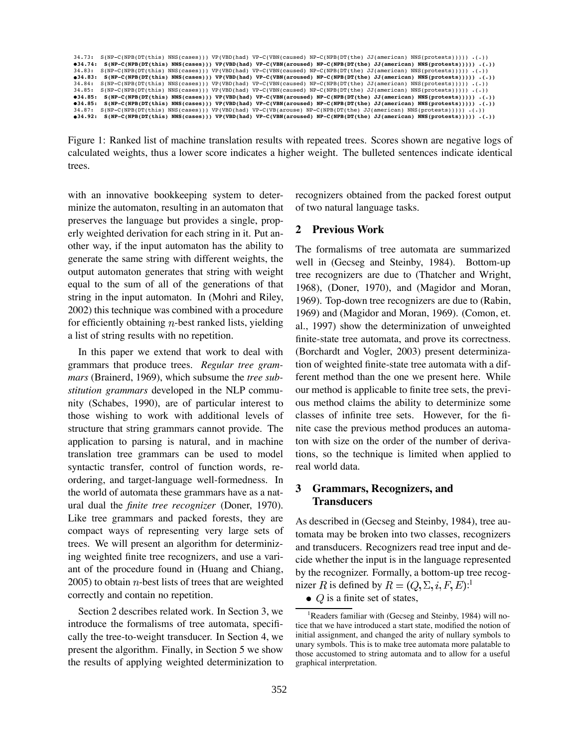```
34.73: S(NP-C(NPB(DT(this) NNS(cases))) VP(VBD(had) VP-C(VBN(caused) NP-C(NPB(DT(the) JJ(american) NNS(protests))))) .(.))
034.74: S(NP-C(NPB(DT(this) NNS(cases))) VP(VBD(had) VP-C(VBN(aroused) NP-C(NPB(DT(the) JJ(american) NNS(protests))))) .(.))<br>34.83: S(NP-C(NPB(DT(this) NNS(cases))) VP(VBD(had) VP-C(VBN(caused) NP-C(NPB(DT(the) JJ(american
34.83: S(NP-C(NPB(DT(this) NNS(cases))) VP(VBD(had) VP-C(VBN(aroused) NP-C(NPB(DT(the) JJ(american) NNS(protests))))) .(.))
34.84: S(NP-C(NPB(DT(this) NNS(cases))) VP(VBD(had) VP-C(VBN(caused) NP-C(NPB(DT(the) JJ(american) NNS(protests))))) .(.))<br>34.85: S(NP-C(NPB(DT(this) NNS(cases))) VP(VBD(had) VP-C(VBN(caused) NP-C(NPB(DT(the) JJ(american) 
34.85: S(NP-C(NPB(DT(this) NNS(cases))) VP(VBD(had) VP-C(VBN(aroused) NP-C(NPB(DT(the) JJ(american) NNS(protests))))) .(.))
#34.85: S(NP-C(NPB(DT(this) NNS(cases))) VP(VBD(had) VP-C(VBN(aroused) NP-C(NPB(DT(the) JJ(american) NNS(protests))))) .(.))<br>34.87: S(NP-C(NPB(DT(this) NNS(cases))) VP(VBD(had) VP-C(VB(arouse) NP-C(NPB(DT(the) JJ(american)
34.92: S(NP-C(NPB(DT(this) NNS(cases))) VP(VBD(had) VP-C(VBN(aroused) NP-C(NPB(DT(the) JJ(american) NNS(protests))))) .(.))
```
Figure 1: Ranked list of machine translation results with repeated trees. Scores shown are negative logs of calculated weights, thus a lower score indicates a higher weight. The bulleted sentences indicate identical trees.

with an innovative bookkeeping system to determinize the automaton, resulting in an automaton that preserves the language but provides a single, properly weighted derivation for each string in it. Put another way, if the input automaton has the ability to generate the same string with different weights, the output automaton generates that string with weight equal to the sum of all of the generations of that string in the input automaton. In (Mohri and Riley, 2002) this technique was combined with a procedure for efficiently obtaining  $n$ -best ranked lists, yielding a list of string results with no repetition.

In this paper we extend that work to deal with grammars that produce trees. *Regular tree grammars* (Brainerd, 1969), which subsume the *tree substitution grammars* developed in the NLP community (Schabes, 1990), are of particular interest to those wishing to work with additional levels of structure that string grammars cannot provide. The application to parsing is natural, and in machine translation tree grammars can be used to model syntactic transfer, control of function words, reordering, and target-language well-formedness. In the world of automata these grammars have as a natural dual the *finite tree recognizer* (Doner, 1970). Like tree grammars and packed forests, they are compact ways of representing very large sets of trees. We will present an algorithm for determinizing weighted finite tree recognizers, and use a variant of the procedure found in (Huang and Chiang,  $2005$ ) to obtain *n*-best lists of trees that are weighted correctly and contain no repetition.

Section 2 describes related work. In Section 3, we introduce the formalisms of tree automata, specifically the tree-to-weight transducer. In Section 4, we present the algorithm. Finally, in Section 5 we show the results of applying weighted determinization to

recognizers obtained from the packed forest output of two natural language tasks.

## **2 Previous Work**

The formalisms of tree automata are summarized well in (Gecseg and Steinby, 1984). Bottom-up tree recognizers are due to (Thatcher and Wright, 1968), (Doner, 1970), and (Magidor and Moran, 1969). Top-down tree recognizers are due to (Rabin, 1969) and (Magidor and Moran, 1969). (Comon, et. al., 1997) show the determinization of unweighted finite-state tree automata, and prove its correctness. (Borchardt and Vogler, 2003) present determinization of weighted finite-state tree automata with a different method than the one we present here. While our method is applicable to finite tree sets, the previous method claims the ability to determinize some classes of infinite tree sets. However, for the finite case the previous method produces an automaton with size on the order of the number of derivations, so the technique is limited when applied to real world data.

## **3 Grammars, Recognizers, and Transducers**

As described in (Gecseg and Steinby, 1984), tree automata may be broken into two classes, recognizers and transducers. Recognizers read tree input and decide whether the input is in the language represented by the recognizer. Formally, a bottom-up tree recognizer R is defined by  $R = (Q, \Sigma, i, F, E)$ :<sup>1</sup>

 $\bullet$  Q is a finite set of states,

<sup>&</sup>lt;sup>1</sup>Readers familiar with (Gecseg and Steinby, 1984) will notice that we have introduced a start state, modified the notion of initial assignment, and changed the arity of nullary symbols to unary symbols. This is to make tree automata more palatable to those accustomed to string automata and to allow for a useful graphical interpretation.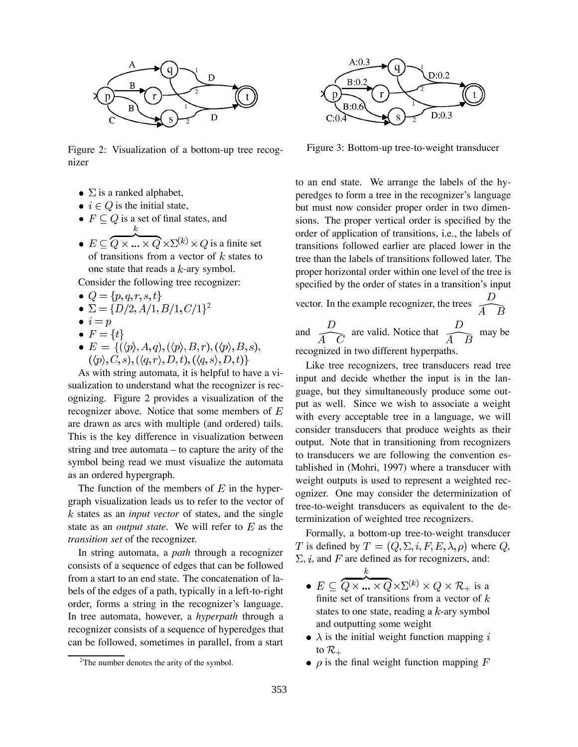

Figure 2: Visualization of a bottom-up tree recognizer

- $\Sigma$  is a ranked alphabet,
- $i \in Q$  is the initial state,
- $F \subseteq Q$  is a set of final states, and
- $E \subseteq \overbrace{Q \times ... \times Q} \times \Sigma^{(k)} \times Q$  is a finite set of transitions from a vector of  $k$  states to one state that reads a  $k$ -ary symbol.

Consider the following tree recognizer:

- $Q = \{p, q, r, s, t\}$
- $\bullet \Sigma = \{D/2, A/1, B/1, C/1\}^2$
- $\bullet i = p$
- $F = \{t\}$
- $E = \{ (\langle p \rangle, A, q), (\langle p \rangle, B, r), (\langle p \rangle, B, s),$  $(\langle p \rangle, C, s), (\langle q, r \rangle, D, t), (\langle q, s \rangle, D, t)$

As with string automata, it is helpful to have a visualization to understand what the recognizer is recognizing. Figure 2 provides a visualization of the recognizer above. Notice that some members of  $E$ are drawn as arcs with multiple (and ordered) tails. This is the key difference in visualization between string and tree automata – to capture the arity of the symbol being read we must visualize the automata as an ordered hypergraph.

The function of the members of  $E$  in the hypergraph visualization leads us to refer to the vector of states as an *input vector* of states, and the single state as an *output state*. We will refer to  $E$  as the *transition set* of the recognizer.

In string automata, a *path* through a recognizer consists of a sequence of edges that can be followed from a start to an end state. The concatenation of labels of the edges of a path, typically in a left-to-right order, forms a string in the recognizer's language. In tree automata, however, a *hyperpath* through a recognizer consists of a sequence of hyperedges that can be followed, sometimes in parallel, from a start



Figure 3: Bottom-up tree-to-weight transducer

to an end state. We arrange the labels of the hyperedges to form a tree in the recognizer's language but must now consider proper order in two dimensions. The proper vertical order is specified by the order of application of transitions, i.e., the labels of transitions followed earlier are placed lower in the tree than the labels of transitions followed later. The proper horizontal order within one level of the tree is specified by the order of states in a transition's input

vector. In the example recognizer, the trees  $\frac{D}{A \cdot B}$ and  $\frac{D}{\overline{A} + \overline{C}}$  are valid. Notice that  $\frac{D}{\overline{A} + \overline{B}}$  may be recognized in two different hyperpaths.

Like tree recognizers, tree transducers read tree input and decide whether the input is in the language, but they simultaneously produce some output as well. Since we wish to associate a weight with every acceptable tree in a language, we will consider transducers that produce weights as their output. Note that in transitioning from recognizers to transducers we are following the convention established in (Mohri, 1997) where a transducer with weight outputs is used to represent a weighted recognizer. One may consider the determinization of tree-to-weight transducers as equivalent to the determinization of weighted tree recognizers.

Formally, a bottom-up tree-to-weight transducer T is defined by  $T = (Q, \Sigma, i, F, E, \lambda, \rho)$  where Q,  $\Sigma$ , *i*, and *F* are defined as for recognizers, and:

- $\bullet \ E \subseteq \overbrace{Q \times \ldots \times Q}^{k} \times \Sigma^{(k)} \times Q \times \mathcal{R}_{+} \text{ is a }$ finite set of transitions from a vector of  $k$ states to one state, reading a  $k$ -ary symbol and outputting some weight
- $\lambda$  is the initial weight function mapping i to  $\mathcal{R}_+$
- $\rho$  is the final weight function mapping F

<sup>&</sup>lt;sup>2</sup>The number denotes the arity of the symbol.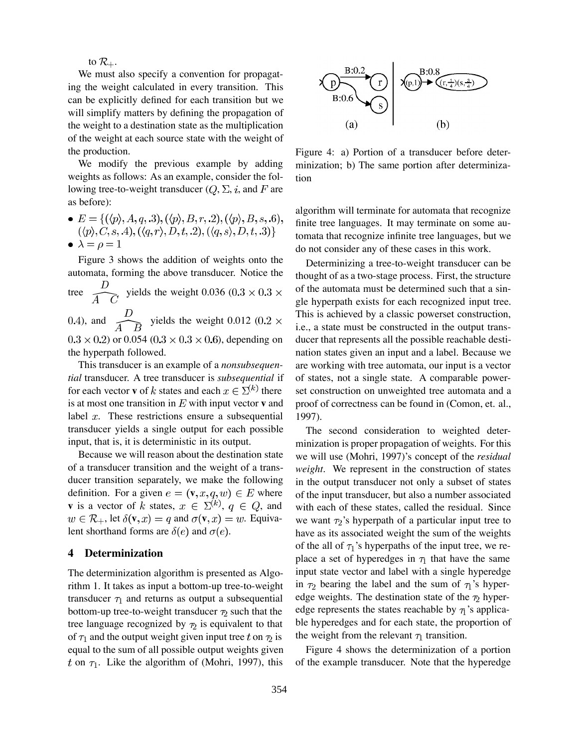to  $\mathcal{R}_+$ .

We must also specify a convention for propagating the weight calculated in every transition. This can be explicitly defined for each transition but we will simplify matters by defining the propagation of the weight to a destination state as the multiplication of the weight at each source state with the weight of the production.

We modify the previous example by adding weights as follows: As an example, consider the following tree-to-weight transducer  $(Q, \Sigma, i,$  and F are as before):

•  $E = \{(\langle p \rangle, A, q, .3), (\langle p \rangle, B, r, .2), (\langle p \rangle, B, s, .6), (\langle p \rangle, C, s, .4), (\langle q, r \rangle, D, t, .2), (\langle q, s \rangle, D, t, .3)\}$ •  $\lambda = \rho = 1$ 

Figure 3 shows the addition of weights onto the automata, forming the above transducer. Notice the

tree  $\frac{D}{\sqrt{C}}$  yields the weight 0.036 (0.3 × 0.3 × 0.4), and  $\frac{D}{\widehat{A} \cdot B}$  yields the weight 0.012 (0.2  $\times$  $(0.3 \times 0.2)$  or 0.054  $(0.3 \times 0.3 \times 0.6)$ , depending on the hyperpath followed.

This transducer is an example of a *nonsubsequential* transducer. A tree transducer is *subsequential* if for each vector **v** of k states and each  $x \in \Sigma^{(k)}$  there is at most one transition in  $E$  with input vector **v** and label  $x$ . These restrictions ensure a subsequential transducer yields a single output for each possible input, that is, it is deterministic in its output.

Because we will reason about the destination state of a transducer transition and the weight of a transducer transition separately, we make the following definition. For a given  $e = (\mathbf{v}, x, q, w) \in E$  where **v** is a vector of k states,  $x \in \Sigma^{(k)}$ ,  $q \in Q$ , and  $w \in \mathcal{R}_+$ , let  $\delta(\mathbf{v}, x) = q$  and  $\sigma(\mathbf{v}, x) = w$ . Equivalent shorthand forms are  $\delta(e)$  and  $\sigma(e)$ .

#### **4 Determinization**

The determinization algorithm is presented as Algorithm 1. It takes as input a bottom-up tree-to-weight transducer  $\tau_1$  and returns as output a subsequential bottom-up tree-to-weight transducer  $\tau_2$  such that the tree language recognized by  $\tau_2$  is equivalent to that of  $\tau_1$  and the output weight given input tree t on  $\tau_2$  is equal to the sum of all possible output weights given t on  $\tau_1$ . Like the algorithm of (Mohri, 1997), this



Figure 4: a) Portion of a transducer before determinization; b) The same portion after determinization

algorithm will terminate for automata that recognize finite tree languages. It may terminate on some automata that recognize infinite tree languages, but we do not consider any of these cases in this work.

Determinizing a tree-to-weight transducer can be thought of as a two-stage process. First, the structure of the automata must be determined such that a single hyperpath exists for each recognized input tree. This is achieved by a classic powerset construction, i.e., a state must be constructed in the output transducer that represents all the possible reachable destination states given an input and a label. Because we are working with tree automata, our input is a vector of states, not a single state. A comparable powerset construction on unweighted tree automata and a proof of correctness can be found in (Comon, et. al., 1997).

The second consideration to weighted determinization is proper propagation of weights. For this we will use (Mohri, 1997)'s concept of the *residual weight*. We represent in the construction of states in the output transducer not only a subset of states of the input transducer, but also a number associated with each of these states, called the residual. Since we want  $\tau_2$ 's hyperpath of a particular input tree to have as its associated weight the sum of the weights of the all of  $\tau_1$ 's hyperpaths of the input tree, we replace a set of hyperedges in  $\tau_1$  that have the same input state vector and label with a single hyperedge in  $\tau_2$  bearing the label and the sum of  $\tau_1$ 's hyperedge weights. The destination state of the  $\tau_2$  hyperedge represents the states reachable by  $\tau_1$ 's applicable hyperedges and for each state, the proportion of the weight from the relevant  $\tau_1$  transition.

Figure 4 shows the determinization of a portion of the example transducer. Note that the hyperedge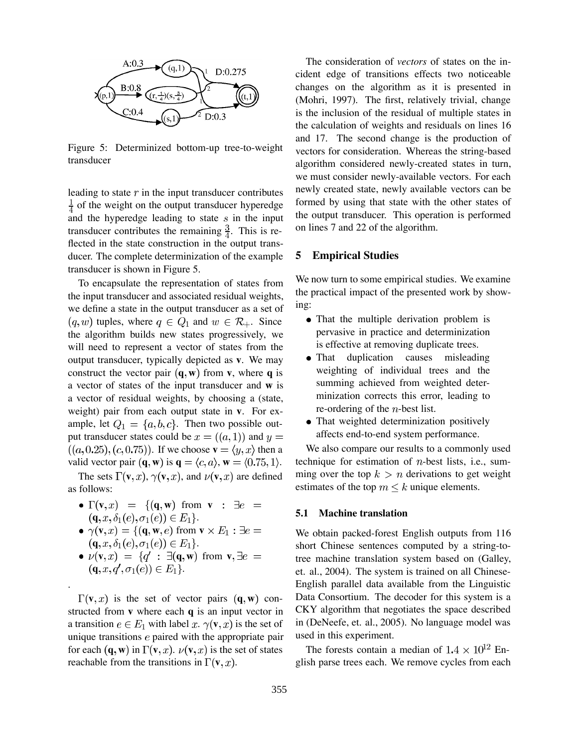

Figure 5: Determinized bottom-up tree-to-weight transducer

leading to state  $r$  in the input transducer contributes  $\frac{1}{4}$  of the weight on the output transducer hyperedge and the hyperedge leading to state  $s$  in the input transducer contributes the remaining  $\frac{3}{4}$ . This is reflected in the state construction in the output transducer. The complete determinization of the example transducer is shown in Figure 5.

To encapsulate the representation of states from the input transducer and associated residual weights, we define a state in the output transducer as a set of  $(q, w)$  tuples, where  $q \in Q_1$  and  $w \in \mathcal{R}_+$ . Since the algorithm builds new states progressively, we will need to represent a vector of states from the output transducer, typically depicted as **v**. We may construct the vector pair  $(\mathbf{q}, \mathbf{w})$  from **v**, where **q** is a vector of states of the input transducer and **w** is a vector of residual weights, by choosing a (state, weight) pair from each output state in **v**. For example, let  $Q_1 = \{a, b, c\}$ . Then two possible output transducer states could be  $x = ((a, 1))$  and  $y =$  $((a, 0.25), (c, 0.75))$ . If we choose  $\mathbf{v} = \langle y, x \rangle$  then a valid vector pair  $(\mathbf{q}, \mathbf{w})$  is  $\mathbf{q} = \langle c, a \rangle$ ,  $\mathbf{w} = \langle 0.75, 1 \rangle$ .

The sets  $\Gamma(\mathbf{v}, x)$ ,  $\gamma(\mathbf{v}, x)$ , and  $\nu(\mathbf{v}, x)$  are defined as follows:

- $\Gamma(\mathbf{v},x) = \{(\mathbf{q},\mathbf{w}) \text{ from } \mathbf{v} : \exists e =$  $({\bf q}, x, \delta_1(e), \sigma_1(e)) \in E_1$ .
- $\gamma(\mathbf{v},x) = \{(\mathbf{q},\mathbf{w},e) \text{ from } \mathbf{v} \times E_1 : \exists e =$  $({\bf q}, x, \delta_1(e), \sigma_1(e)) \in E_1$ .
- $\nu(\mathbf{v},x) = \{q' : \exists (\mathbf{q},\mathbf{w}) \text{ from } \mathbf{v}, \exists e =$  $({\bf q}, x, q', \sigma_1(e)) \in E_1$ .

.

 $\Gamma(\mathbf{v},x)$  is the set of vector pairs  $(\mathbf{q},\mathbf{w})$  constructed from **v** where each **q** is an input vector in a transition  $e \in E_1$  with label x.  $\gamma(\mathbf{v}, x)$  is the set of unique transitions  $e$  paired with the appropriate pair for each  $(\mathbf{q}, \mathbf{w})$  in  $\Gamma(\mathbf{v}, x)$ .  $\nu(\mathbf{v}, x)$  is the set of states reachable from the transitions in  $\Gamma(\mathbf{v},x)$ .

The consideration of *vectors* of states on the incident edge of transitions effects two noticeable changes on the algorithm as it is presented in (Mohri, 1997). The first, relatively trivial, change is the inclusion of the residual of multiple states in the calculation of weights and residuals on lines 16 and 17. The second change is the production of vectors for consideration. Whereas the string-based algorithm considered newly-created states in turn, we must consider newly-available vectors. For each newly created state, newly available vectors can be formed by using that state with the other states of the output transducer. This operation is performed on lines 7 and 22 of the algorithm.

#### **5 Empirical Studies**

We now turn to some empirical studies. We examine the practical impact of the presented work by showing:

- That the multiple derivation problem is pervasive in practice and determinization is effective at removing duplicate trees.
- That duplication causes misleading weighting of individual trees and the summing achieved from weighted determinization corrects this error, leading to re-ordering of the  $n$ -best list.
- That weighted determinization positively affects end-to-end system performance.

We also compare our results to a commonly used technique for estimation of  $n$ -best lists, i.e., summing over the top  $k > n$  derivations to get weight estimates of the top  $m \leq k$  unique elements.

#### **5.1 Machine translation**

We obtain packed-forest English outputs from 116 short Chinese sentences computed by a string-totree machine translation system based on (Galley, et. al., 2004). The system is trained on all Chinese-English parallel data available from the Linguistic Data Consortium. The decoder for this system is a CKY algorithm that negotiates the space described in (DeNeefe, et. al., 2005). No language model was used in this experiment.

The forests contain a median of  $1.4 \times 10^{12}$  English parse trees each. We remove cycles from each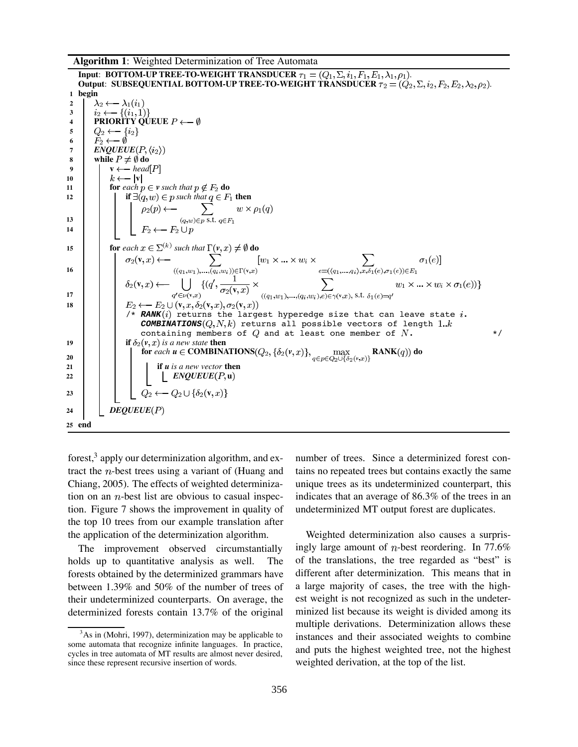**Algorithm 1**: Weighted Determinization of Tree Automata

**Input: BOTTOM-UP TREE-TO-WEIGHT TRANSDUCER**  $\tau_1 = (Q_1, \Sigma, i_1, F_1, E_1, \lambda_1, \rho_1)$ . **Output: SUBSEQUENTIAL BOTTOM-UP TREE-TO-WEIGHT TRANSDUCER**  $\tau_2 = (Q_2, \Sigma, i_2, F_2, E_2, \lambda_2, \rho_2)$ . **1 begin**<br> **2**  $\lambda_2 \leftarrow \lambda_1(i_1)$ <br> **3**  $i_2 \leftarrow \{(i_1, 1)\}$ **2 3 4 PRIORITY** QUEUE  $P \leftarrow \emptyset$  $Q_2 \longleftarrow \{i_2\}$ **5**  $F_2 \longleftarrow \emptyset$ **6** 7 **ENQUEUE** $(P, \langle i_2 \rangle)$ **8 while**  $P \neq \emptyset$  do **9**  $\mathbf{v} \leftarrow \text{head}[P]$ 10  $\vert \vert k \leftarrow |v|$ **11 for** *each*  $p \in v$  *such that*  $p \notin F_2$  **do 12 if**  $\exists (q, w) \in p$  *such that*  $q \in F_1$  **then 13**  $\begin{bmatrix} \cdot & \cdot \\ \cdot & \cdot \\ \cdot & \cdot \end{bmatrix}$   $\begin{bmatrix} \cdot & \cdot \\ \cdot & \rho_2(p) & \leftarrow \\ \cdot & \cdot & \cdot \\ \cdot & \cdot & \cdot \\ \cdot & \cdot & \cdot \end{bmatrix}$   $\sum_{(q,w)\in p \text{ s.t. } q\in F_1} w \times \rho_1(q)$  $F_2 \longleftarrow F_2 \cup p$ **14 15 for** *each*  $x \in \Sigma^{(k)}$  *such that*  $\Gamma(v, x) \neq \emptyset$  **do v 16 v**  $((q_1, w_1), ..., (q_i, w_i)) \in \Gamma(\mathbf{v})$ **i l**  $\delta_2(\mathbf{v},x) \leftarrow \bigcup_{q' \in \nu(\mathbf{v},x)} \{ (q',\frac{1}{\sigma_2(\mathbf{v},x)} \times \bigcup_{((q_1,w_1),...,(q_i,w_i),e) \in \gamma(\mathbf{v},x),\text{ s.t. } e' \in \mathcal{E}}$ **18 i l**  $E_2 \leftarrow E_2 \cup (\mathbf{v}, x, \delta_2(\mathbf{v}, x), \sigma_2(\mathbf{v}, x))$  $\forall$ \* **RANK** $(i)$  returns the largest hyperedge size that can leave state  $i$ .  $\text{COMBINATIONS}(Q, N, k)$  returns all possible vectors of length 1.k containing members of  $Q$  and at least one member of  $N$ .  $*$ **19 if**  $\delta_2(v, x)$  *is a new state* **then for** *each*  $u \in \text{COMBINATIONS}(Q_2, \{\delta_2(v,x)\}, \max_{q \in p \in Q_2 \cup \{\delta_2(v,x)\}})$  $\textbf{RANK}(q)$  do **20 21 if** *u is a new vector* **then 22**  $\vert \vert \vert \vert \vert \vert$  **ENQUEUE**(P, **u**) 23 **b l l**  $Q_2 \leftarrow Q_2 \cup \{\delta_2(\mathbf{v},x)\}$ **24** *DEQUEUE* **25 end**

forest, $3$  apply our determinization algorithm, and extract the  $n$ -best trees using a variant of (Huang and Chiang, 2005). The effects of weighted determinization on an  $n$ -best list are obvious to casual inspection. Figure 7 shows the improvement in quality of the top 10 trees from our example translation after the application of the determinization algorithm.

The improvement observed circumstantially holds up to quantitative analysis as well. The forests obtained by the determinized grammars have between 1.39% and 50% of the number of trees of their undeterminized counterparts. On average, the determinized forests contain 13.7% of the original number of trees. Since a determinized forest contains no repeated trees but contains exactly the same unique trees as its undeterminized counterpart, this indicates that an average of 86.3% of the trees in an undeterminized MT output forest are duplicates.

Weighted determinization also causes a surprisingly large amount of *n*-best reordering. In 77.6% of the translations, the tree regarded as "best" is different after determinization. This means that in a large majority of cases, the tree with the highest weight is not recognized as such in the undeterminized list because its weight is divided among its multiple derivations. Determinization allows these instances and their associated weights to combine and puts the highest weighted tree, not the highest weighted derivation, at the top of the list.

 $3$ As in (Mohri, 1997), determinization may be applicable to some automata that recognize infinite languages. In practice, cycles in tree automata of MT results are almost never desired, since these represent recursive insertion of words.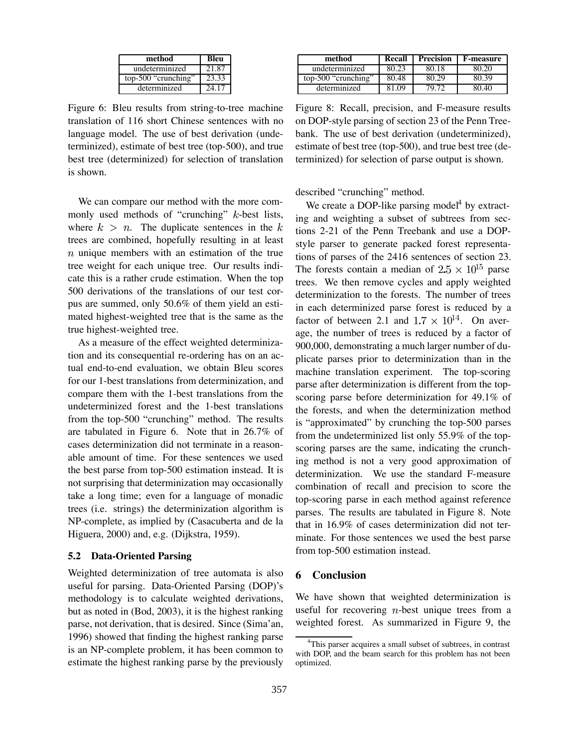| method              | Bleu  |
|---------------------|-------|
| undeterminized      | 21.87 |
| top-500 "crunching" | 23.33 |
| determinized        | 24 17 |

Figure 6: Bleu results from string-to-tree machine translation of 116 short Chinese sentences with no language model. The use of best derivation (undeterminized), estimate of best tree (top-500), and true best tree (determinized) for selection of translation is shown.

We can compare our method with the more commonly used methods of "crunching"  $k$ -best lists, where  $k > n$ . The duplicate sentences in the k trees are combined, hopefully resulting in at least  $n$  unique members with an estimation of the true tree weight for each unique tree. Our results indicate this is a rather crude estimation. When the top 500 derivations of the translations of our test corpus are summed, only 50.6% of them yield an estimated highest-weighted tree that is the same as the true highest-weighted tree.

As a measure of the effect weighted determinization and its consequential re-ordering has on an actual end-to-end evaluation, we obtain Bleu scores for our 1-best translations from determinization, and compare them with the 1-best translations from the undeterminized forest and the 1-best translations from the top-500 "crunching" method. The results are tabulated in Figure 6. Note that in 26.7% of cases determinization did not terminate in a reasonable amount of time. For these sentences we used the best parse from top-500 estimation instead. It is not surprising that determinization may occasionally take a long time; even for a language of monadic trees (i.e. strings) the determinization algorithm is NP-complete, as implied by (Casacuberta and de la Higuera, 2000) and, e.g. (Dijkstra, 1959).

#### **5.2 Data-Oriented Parsing**

Weighted determinization of tree automata is also useful for parsing. Data-Oriented Parsing (DOP)'s methodology is to calculate weighted derivations, but as noted in (Bod, 2003), it is the highest ranking parse, not derivation, that is desired. Since (Sima'an, 1996) showed that finding the highest ranking parse is an NP-complete problem, it has been common to estimate the highest ranking parse by the previously

| method              | Recall | Precision | F-measure |
|---------------------|--------|-----------|-----------|
| undeterminized      | 80.23  | 80 18     | Ջበ 20     |
| top-500 "crunching" | 80.48  |           | 80 39     |
| determinized        | 81 O.Q | 70.,      |           |

Figure 8: Recall, precision, and F-measure results on DOP-style parsing of section 23 of the Penn Treebank. The use of best derivation (undeterminized), estimate of best tree (top-500), and true best tree (determinized) for selection of parse output is shown.

described "crunching" method.

We create a DOP-like parsing model<sup>4</sup> by extracting and weighting a subset of subtrees from sections 2-21 of the Penn Treebank and use a DOPstyle parser to generate packed forest representations of parses of the 2416 sentences of section 23. The forests contain a median of  $2.5 \times 10^{15}$  parse trees. We then remove cycles and apply weighted determinization to the forests. The number of trees in each determinized parse forest is reduced by a factor of between 2.1 and  $1.7 \times 10^{14}$ . On average, the number of trees is reduced by a factor of 900,000, demonstrating a much larger number of duplicate parses prior to determinization than in the machine translation experiment. The top-scoring parse after determinization is different from the topscoring parse before determinization for 49.1% of the forests, and when the determinization method is "approximated" by crunching the top-500 parses from the undeterminized list only 55.9% of the topscoring parses are the same, indicating the crunching method is not a very good approximation of determinization. We use the standard F-measure combination of recall and precision to score the top-scoring parse in each method against reference parses. The results are tabulated in Figure 8. Note that in 16.9% of cases determinization did not terminate. For those sentences we used the best parse from top-500 estimation instead.

### **6 Conclusion**

We have shown that weighted determinization is useful for recovering  $n$ -best unique trees from a weighted forest. As summarized in Figure 9, the

<sup>&</sup>lt;sup>4</sup>This parser acquires a small subset of subtrees, in contrast with DOP, and the beam search for this problem has not been optimized.